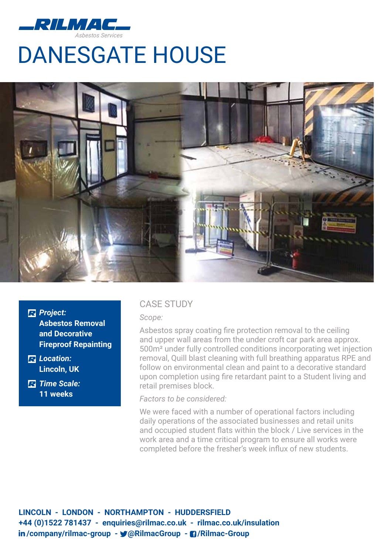

## DANESGATE HOUSE



*Project:*  **Asbestos Removal and Decorative Fireproof Repainting**

*Location:*  **Lincoln, UK** 

*Time Scale:*  **11 weeks**

### CASE STUDY

*Scope:*

Asbestos spray coating fire protection removal to the ceiling and upper wall areas from the under croft car park area approx. 500m² under fully controlled conditions incorporating wet injection removal, Quill blast cleaning with full breathing apparatus RPE and follow on environmental clean and paint to a decorative standard upon completion using fire retardant paint to a Student living and retail premises block.

*Factors to be considered:*

We were faced with a number of operational factors including daily operations of the associated businesses and retail units and occupied student flats within the block / Live services in the work area and a time critical program to ensure all works were completed before the fresher's week influx of new students.